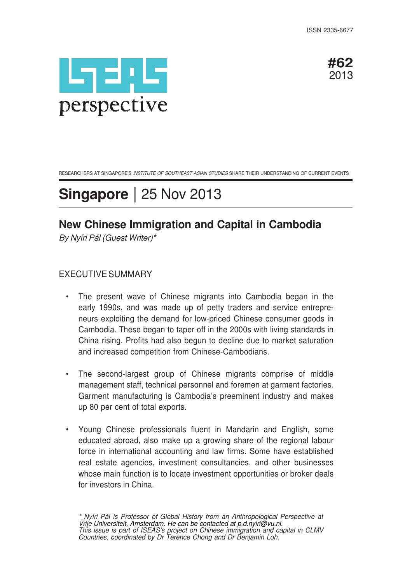



RESEARCHERS AT SINGAPORE'S INSTITUTE OF SOUTHEAST ASIAN STUDIES SHARE THEIR UNDERSTANDING OF CURRENT EVENTS

# **Singapore** | 25 Nov 2013

# **New Chinese Immigration and Capital in Cambodia**

By Nyíri Pál (Guest Writer)\*

## EXECUTIVE SUMMARY

- The present wave of Chinese migrants into Cambodia began in the early 1990s, and was made up of petty traders and service entrepreneurs exploiting the demand for low-priced Chinese consumer goods in Cambodia. These began to taper off in the 2000s with living standards in China rising. Profits had also begun to decline due to market saturation and increased competition from Chinese-Cambodians.
- The second-largest group of Chinese migrants comprise of middle management staff, technical personnel and foremen at garment factories. Garment manufacturing is Cambodia's preeminent industry and makes up 80 per cent of total exports.
- Young Chinese professionals fluent in Mandarin and English, some educated abroad, also make up a growing share of the regional labour force in international accounting and law firms. Some have established real estate agencies, investment consultancies, and other businesses whose main function is to locate investment opportunities or broker deals for investors in China.

\* Nyíri Pál is Professor of Global History from an Anthropological Perspective at Vrije Universiteit, Amsterdam. He can be contacted at p.d.nyiri@vu.nl. This issue is part of ISEAS's project on Chinese immigration and capital in CLMV Countries, coordinated by Dr Terence Chong and Dr Benjamin Loh.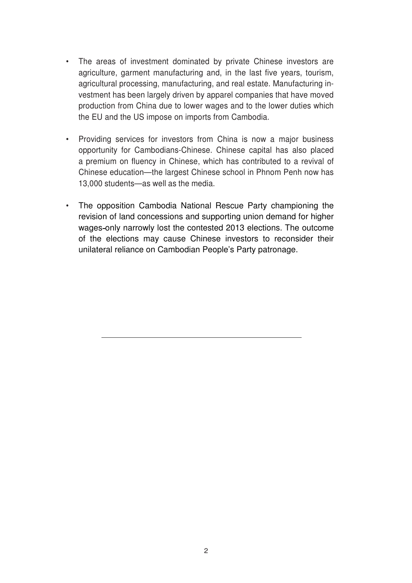- The areas of investment dominated by private Chinese investors are agriculture, garment manufacturing and, in the last five years, tourism, agricultural processing, manufacturing, and real estate. Manufacturing investment has been largely driven by apparel companies that have moved production from China due to lower wages and to the lower duties which the EU and the US impose on imports from Cambodia.
- Providing services for investors from China is now a major business opportunity for Cambodians-Chinese. Chinese capital has also placed a premium on fluency in Chinese, which has contributed to a revival of Chinese education—the largest Chinese school in Phnom Penh now has 13,000 students—as well as the media.
- The opposition Cambodia National Rescue Party championing the revision of land concessions and supporting union demand for higher wages-only narrowly lost the contested 2013 elections. The outcome of the elections may cause Chinese investors to reconsider their unilateral reliance on Cambodian People's Party patronage.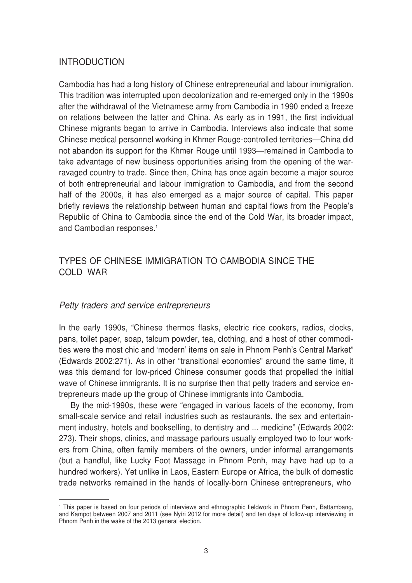### INTRODUCTION

Cambodia has had a long history of Chinese entrepreneurial and labour immigration. This tradition was interrupted upon decolonization and re-emerged only in the 1990s after the withdrawal of the Vietnamese army from Cambodia in 1990 ended a freeze on relations between the latter and China. As early as in 1991, the first individual Chinese migrants began to arrive in Cambodia. Interviews also indicate that some Chinese medical personnel working in Khmer Rouge-controlled territories—China did not abandon its support for the Khmer Rouge until 1993—remained in Cambodia to take advantage of new business opportunities arising from the opening of the warravaged country to trade. Since then, China has once again become a major source of both entrepreneurial and labour immigration to Cambodia, and from the second half of the 2000s, it has also emerged as a major source of capital. This paper briefly reviews the relationship between human and capital flows from the People's Republic of China to Cambodia since the end of the Cold War, its broader impact, and Cambodian responses.<sup>1</sup>

# TYPES OF CHINESE IMMIGRATION TO CAMBODIA SINCE THE COLD WAR

#### Petty traders and service entrepreneurs

In the early 1990s, "Chinese thermos flasks, electric rice cookers, radios, clocks, pans, toilet paper, soap, talcum powder, tea, clothing, and a host of other commodities were the most chic and 'modern' items on sale in Phnom Penh's Central Market" (Edwards 2002:271). As in other "transitional economies" around the same time, it was this demand for low-priced Chinese consumer goods that propelled the initial wave of Chinese immigrants. It is no surprise then that petty traders and service entrepreneurs made up the group of Chinese immigrants into Cambodia.

By the mid-1990s, these were "engaged in various facets of the economy, from small-scale service and retail industries such as restaurants, the sex and entertainment industry, hotels and bookselling, to dentistry and ... medicine" (Edwards 2002: 273). Their shops, clinics, and massage parlours usually employed two to four workers from China, often family members of the owners, under informal arrangements (but a handful, like Lucky Foot Massage in Phnom Penh, may have had up to a hundred workers). Yet unlike in Laos, Eastern Europe or Africa, the bulk of domestic trade networks remained in the hands of locally-born Chinese entrepreneurs, who

<sup>1</sup>This paper is based on four periods of interviews and ethnographic fieldwork in Phnom Penh, Battambang, and Kampot between 2007 and 2011 (see Nyíri 2012 for more detail) and ten days of follow-up interviewing in Phnom Penh in the wake of the 2013 general election.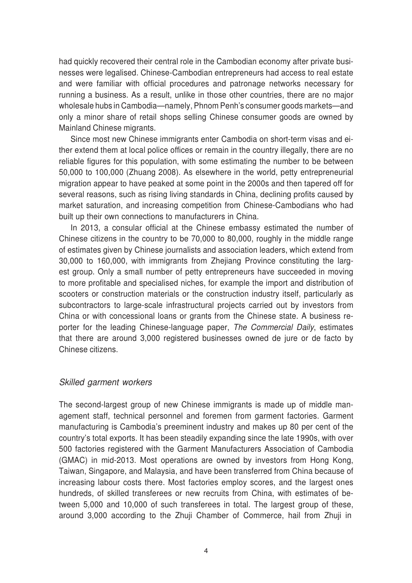had quickly recovered their central role in the Cambodian economy after private businesses were legalised. Chinese-Cambodian entrepreneurs had access to real estate and were familiar with official procedures and patronage networks necessary for running a business. As a result, unlike in those other countries, there are no major wholesale hubs in Cambodia—namely, Phnom Penh's consumer goods markets—and only a minor share of retail shops selling Chinese consumer goods are owned by Mainland Chinese migrants.

Since most new Chinese immigrants enter Cambodia on short-term visas and either extend them at local police offices or remain in the country illegally, there are no reliable figures for this population, with some estimating the number to be between 50,000 to 100,000 (Zhuang 2008). As elsewhere in the world, petty entrepreneurial migration appear to have peaked at some point in the 2000s and then tapered off for several reasons, such as rising living standards in China, declining profits caused by market saturation, and increasing competition from Chinese-Cambodians who had built up their own connections to manufacturers in China.

In 2013, a consular official at the Chinese embassy estimated the number of Chinese citizens in the country to be 70,000 to 80,000, roughly in the middle range of estimates given by Chinese journalists and association leaders, which extend from 30,000 to 160,000, with immigrants from Zhejiang Province constituting the largest group. Only a small number of petty entrepreneurs have succeeded in moving to more profitable and specialised niches, for example the import and distribution of scooters or construction materials or the construction industry itself, particularly as subcontractors to large-scale infrastructural projects carried out by investors from China or with concessional loans or grants from the Chinese state. A business reporter for the leading Chinese-language paper, The Commercial Daily, estimates that there are around 3,000 registered businesses owned de jure or de facto by Chinese citizens.

#### Skilled garment workers

The second-largest group of new Chinese immigrants is made up of middle management staff, technical personnel and foremen from garment factories. Garment manufacturing is Cambodia's preeminent industry and makes up 80 per cent of the country's total exports. It has been steadily expanding since the late 1990s, with over 500 factories registered with the Garment Manufacturers Association of Cambodia (GMAC) in mid-2013. Most operations are owned by investors from Hong Kong, Taiwan, Singapore, and Malaysia, and have been transferred from China because of increasing labour costs there. Most factories employ scores, and the largest ones hundreds, of skilled transferees or new recruits from China, with estimates of between 5,000 and 10,000 of such transferees in total. The largest group of these, around 3,000 according to the Zhuji Chamber of Commerce, hail from Zhuji in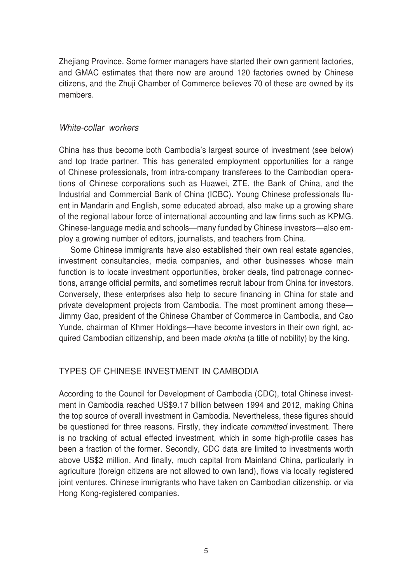Zhejiang Province. Some former managers have started their own garment factories, and GMAC estimates that there now are around 120 factories owned by Chinese citizens, and the Zhuji Chamber of Commerce believes 70 of these are owned by its members.

#### White-collar workers

China has thus become both Cambodia's largest source of investment (see below) and top trade partner. This has generated employment opportunities for a range of Chinese professionals, from intra-company transferees to the Cambodian operations of Chinese corporations such as Huawei, ZTE, the Bank of China, and the Industrial and Commercial Bank of China (ICBC). Young Chinese professionals fluent in Mandarin and English, some educated abroad, also make up a growing share of the regional labour force of international accounting and law firms such as KPMG. Chinese-language media and schools—many funded by Chinese investors—also employ a growing number of editors, journalists, and teachers from China.

Some Chinese immigrants have also established their own real estate agencies, investment consultancies, media companies, and other businesses whose main function is to locate investment opportunities, broker deals, find patronage connections, arrange official permits, and sometimes recruit labour from China for investors. Conversely, these enterprises also help to secure financing in China for state and private development projects from Cambodia. The most prominent among these— Jimmy Gao, president of the Chinese Chamber of Commerce in Cambodia, and Cao Yunde, chairman of Khmer Holdings—have become investors in their own right, acquired Cambodian citizenship, and been made oknha (a title of nobility) by the king.

# TYPES OF CHINESE INVESTMENT IN CAMBODIA

According to the Council for Development of Cambodia (CDC), total Chinese investment in Cambodia reached US\$9.17 billion between 1994 and 2012, making China the top source of overall investment in Cambodia. Nevertheless, these figures should be questioned for three reasons. Firstly, they indicate *committed* investment. There is no tracking of actual effected investment, which in some high-profile cases has been a fraction of the former. Secondly, CDC data are limited to investments worth above US\$2 million. And finally, much capital from Mainland China, particularly in agriculture (foreign citizens are not allowed to own land), flows via locally registered joint ventures, Chinese immigrants who have taken on Cambodian citizenship, or via Hong Kong-registered companies.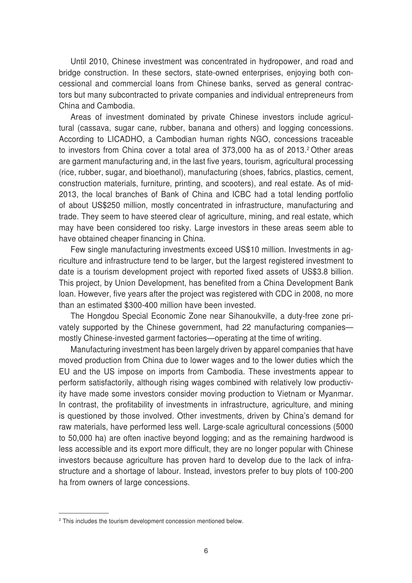Until 2010, Chinese investment was concentrated in hydropower, and road and bridge construction. In these sectors, state-owned enterprises, enjoying both concessional and commercial loans from Chinese banks, served as general contractors but many subcontracted to private companies and individual entrepreneurs from China and Cambodia.

Areas of investment dominated by private Chinese investors include agricultural (cassava, sugar cane, rubber, banana and others) and logging concessions. According to LICADHO, a Cambodian human rights NGO, concessions traceable to investors from China cover a total area of 373,000 ha as of 2013.<sup>2</sup> Other areas are garment manufacturing and, in the last five years, tourism, agricultural processing (rice, rubber, sugar, and bioethanol), manufacturing (shoes, fabrics, plastics, cement, construction materials, furniture, printing, and scooters), and real estate. As of mid-2013, the local branches of Bank of China and ICBC had a total lending portfolio of about US\$250 million, mostly concentrated in infrastructure, manufacturing and trade. They seem to have steered clear of agriculture, mining, and real estate, which may have been considered too risky. Large investors in these areas seem able to have obtained cheaper financing in China.

Few single manufacturing investments exceed US\$10 million. Investments in agriculture and infrastructure tend to be larger, but the largest registered investment to date is a tourism development project with reported fixed assets of US\$3.8 billion. This project, by Union Development, has benefited from a China Development Bank loan. However, five years after the project was registered with CDC in 2008, no more than an estimated \$300-400 million have been invested.

The Hongdou Special Economic Zone near Sihanoukville, a duty-free zone privately supported by the Chinese government, had 22 manufacturing companies mostly Chinese-invested garment factories—operating at the time of writing.

Manufacturing investment has been largely driven by apparel companies that have moved production from China due to lower wages and to the lower duties which the EU and the US impose on imports from Cambodia. These investments appear to perform satisfactorily, although rising wages combined with relatively low productivity have made some investors consider moving production to Vietnam or Myanmar. In contrast, the profitability of investments in infrastructure, agriculture, and mining is questioned by those involved. Other investments, driven by China's demand for raw materials, have performed less well. Large-scale agricultural concessions (5000 to 50,000 ha) are often inactive beyond logging; and as the remaining hardwood is less accessible and its export more difficult, they are no longer popular with Chinese investors because agriculture has proven hard to develop due to the lack of infrastructure and a shortage of labour. Instead, investors prefer to buy plots of 100-200 ha from owners of large concessions.

<sup>&</sup>lt;sup>2</sup> This includes the tourism development concession mentioned below.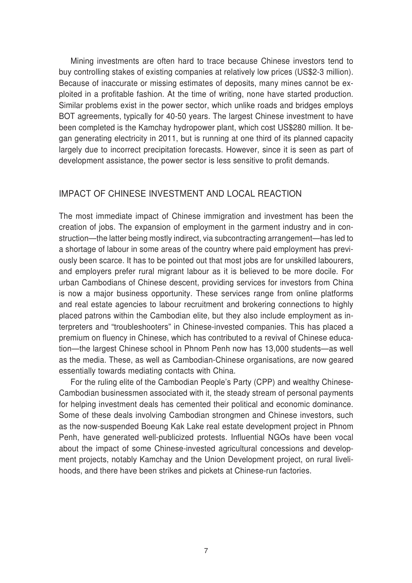Mining investments are often hard to trace because Chinese investors tend to buy controlling stakes of existing companies at relatively low prices (US\$2-3 million). Because of inaccurate or missing estimates of deposits, many mines cannot be exploited in a profitable fashion. At the time of writing, none have started production. Similar problems exist in the power sector, which unlike roads and bridges employs BOT agreements, typically for 40-50 years. The largest Chinese investment to have been completed is the Kamchay hydropower plant, which cost US\$280 million. It began generating electricity in 2011, but is running at one third of its planned capacity largely due to incorrect precipitation forecasts. However, since it is seen as part of development assistance, the power sector is less sensitive to profit demands.

#### IMPACT OF CHINESE INVESTMENT AND LOCAL REACTION

The most immediate impact of Chinese immigration and investment has been the creation of jobs. The expansion of employment in the garment industry and in construction—the latter being mostly indirect, via subcontracting arrangement—has led to a shortage of labour in some areas of the country where paid employment has previously been scarce. It has to be pointed out that most jobs are for unskilled labourers, and employers prefer rural migrant labour as it is believed to be more docile. For urban Cambodians of Chinese descent, providing services for investors from China is now a major business opportunity. These services range from online platforms and real estate agencies to labour recruitment and brokering connections to highly placed patrons within the Cambodian elite, but they also include employment as interpreters and "troubleshooters" in Chinese-invested companies. This has placed a premium on fluency in Chinese, which has contributed to a revival of Chinese education—the largest Chinese school in Phnom Penh now has 13,000 students—as well as the media. These, as well as Cambodian-Chinese organisations, are now geared essentially towards mediating contacts with China.

For the ruling elite of the Cambodian People's Party (CPP) and wealthy Chinese-Cambodian businessmen associated with it, the steady stream of personal payments for helping investment deals has cemented their political and economic dominance. Some of these deals involving Cambodian strongmen and Chinese investors, such as the now-suspended Boeung Kak Lake real estate development project in Phnom Penh, have generated well-publicized protests. Influential NGOs have been vocal about the impact of some Chinese-invested agricultural concessions and development projects, notably Kamchay and the Union Development project, on rural livelihoods, and there have been strikes and pickets at Chinese-run factories.